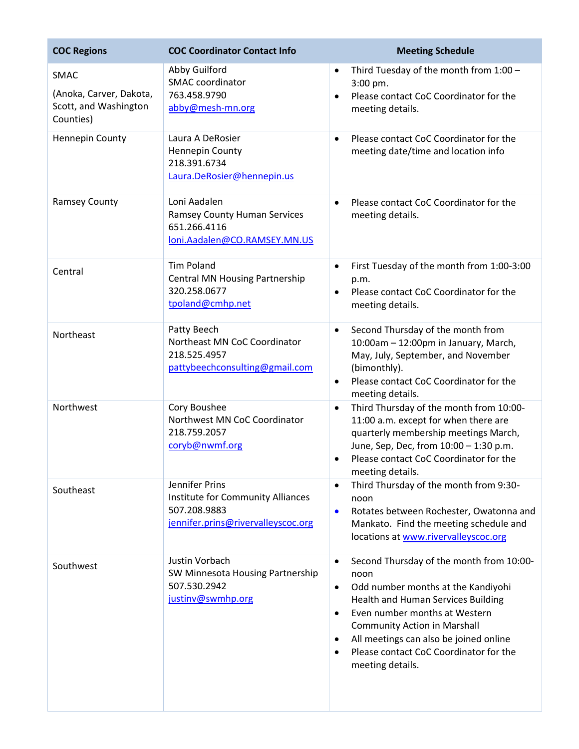| <b>COC Regions</b>                                                           | <b>COC Coordinator Contact Info</b>                                                                       | <b>Meeting Schedule</b>                                                                                                                                                                                                                                                                                                                                                       |
|------------------------------------------------------------------------------|-----------------------------------------------------------------------------------------------------------|-------------------------------------------------------------------------------------------------------------------------------------------------------------------------------------------------------------------------------------------------------------------------------------------------------------------------------------------------------------------------------|
| <b>SMAC</b><br>(Anoka, Carver, Dakota,<br>Scott, and Washington<br>Counties) | Abby Guilford<br>SMAC coordinator<br>763.458.9790<br>abby@mesh-mn.org                                     | Third Tuesday of the month from 1:00 -<br>$3:00$ pm.<br>Please contact CoC Coordinator for the<br>$\bullet$<br>meeting details.                                                                                                                                                                                                                                               |
| Hennepin County                                                              | Laura A DeRosier<br><b>Hennepin County</b><br>218.391.6734<br>Laura.DeRosier@hennepin.us                  | Please contact CoC Coordinator for the<br>$\bullet$<br>meeting date/time and location info                                                                                                                                                                                                                                                                                    |
| <b>Ramsey County</b>                                                         | Loni Aadalen<br><b>Ramsey County Human Services</b><br>651.266.4116<br>loni.Aadalen@CO.RAMSEY.MN.US       | Please contact CoC Coordinator for the<br>$\bullet$<br>meeting details.                                                                                                                                                                                                                                                                                                       |
| Central                                                                      | <b>Tim Poland</b><br><b>Central MN Housing Partnership</b><br>320.258.0677<br>tpoland@cmhp.net            | First Tuesday of the month from 1:00-3:00<br>$\bullet$<br>p.m.<br>Please contact CoC Coordinator for the<br>$\bullet$<br>meeting details.                                                                                                                                                                                                                                     |
| Northeast                                                                    | Patty Beech<br>Northeast MN CoC Coordinator<br>218.525.4957<br>pattybeechconsulting@gmail.com             | Second Thursday of the month from<br>$\bullet$<br>10:00am - 12:00pm in January, March,<br>May, July, September, and November<br>(bimonthly).<br>Please contact CoC Coordinator for the<br>$\bullet$<br>meeting details.                                                                                                                                                       |
| Northwest                                                                    | Cory Boushee<br>Northwest MN CoC Coordinator<br>218.759.2057<br>coryb@nwmf.org                            | Third Thursday of the month from 10:00-<br>$\bullet$<br>11:00 a.m. except for when there are<br>quarterly membership meetings March,<br>June, Sep, Dec, from 10:00 - 1:30 p.m.<br>Please contact CoC Coordinator for the<br>$\bullet$<br>meeting details.                                                                                                                     |
| Southeast                                                                    | Jennifer Prins<br>Institute for Community Alliances<br>507.208.9883<br>jennifer.prins@rivervalleyscoc.org | Third Thursday of the month from 9:30-<br>$\bullet$<br>noon<br>Rotates between Rochester, Owatonna and<br>$\bullet$<br>Mankato. Find the meeting schedule and<br>locations at www.rivervalleyscoc.org                                                                                                                                                                         |
| Southwest                                                                    | Justin Vorbach<br>SW Minnesota Housing Partnership<br>507.530.2942<br>justinv@swmhp.org                   | Second Thursday of the month from 10:00-<br>$\bullet$<br>noon<br>Odd number months at the Kandiyohi<br>$\bullet$<br>Health and Human Services Building<br>Even number months at Western<br>$\bullet$<br><b>Community Action in Marshall</b><br>All meetings can also be joined online<br>$\bullet$<br>Please contact CoC Coordinator for the<br>$\bullet$<br>meeting details. |